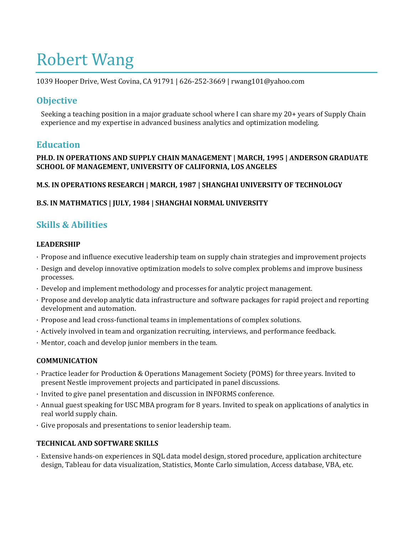# Robert Wang

1039 Hooper Drive, West Covina, CA 91791 | 626-252-3669 | rwang101@yahoo.com

## **Objective**

Seeking a teaching position in a major graduate school where I can share my 20+ years of Supply Chain experience and my expertise in advanced business analytics and optimization modeling.

## **Education**

#### **PH.D. IN OPERATIONS AND SUPPLY CHAIN MANAGEMENT | MARCH, 1995 | ANDERSON GRADUATE SCHOOL OF MANAGEMENT, UNIVERSITY OF CALIFORNIA, LOS ANGELES**

#### **M.S. IN OPERATIONS RESEARCH | MARCH, 1987 | SHANGHAI UNIVERSITY OF TECHNOLOGY**

#### **B.S. IN MATHMATICS | JULY, 1984 | SHANGHAI NORMAL UNIVERSITY**

# **Skills & Abilities**

#### **LEADERSHIP**

- · Propose and influence executive leadership team on supply chain strategies and improvement projects
- · Design and develop innovative optimization models to solve complex problems and improve business processes.
- · Develop and implement methodology and processes for analytic project management.
- · Propose and develop analytic data infrastructure and software packages for rapid project and reporting development and automation.
- · Propose and lead cross-functional teams in implementations of complex solutions.
- · Actively involved in team and organization recruiting, interviews, and performance feedback.
- · Mentor, coach and develop junior members in the team.

#### **COMMUNICATION**

- · Practice leader for Production & Operations Management Society (POMS) for three years. Invited to present Nestle improvement projects and participated in panel discussions.
- · Invited to give panel presentation and discussion in INFORMS conference.
- · Annual guest speaking for USC MBA program for 8 years. Invited to speak on applications of analytics in real world supply chain.
- · Give proposals and presentations to senior leadership team.

#### **TECHNICAL AND SOFTWARE SKILLS**

· Extensive hands-on experiences in SQL data model design, stored procedure, application architecture design, Tableau for data visualization, Statistics, Monte Carlo simulation, Access database, VBA, etc.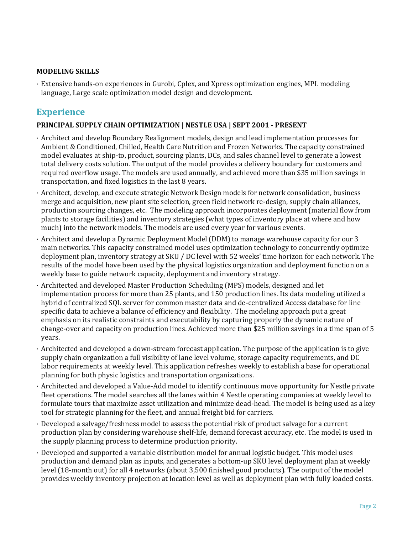#### **MODELING SKILLS**

· Extensive hands-on experiences in Gurobi, Cplex, and Xpress optimization engines, MPL modeling language, Large scale optimization model design and development.

## **Experience**

#### **PRINCIPAL SUPPLY CHAIN OPTIMIZATION | NESTLE USA | SEPT 2001 - PRESENT**

- · Architect and develop Boundary Realignment models, design and lead implementation processes for Ambient & Conditioned, Chilled, Health Care Nutrition and Frozen Networks. The capacity constrained model evaluates at ship-to, product, sourcing plants, DCs, and sales channel level to generate a lowest total delivery costs solution. The output of the model provides a delivery boundary for customers and required overflow usage. The models are used annually, and achieved more than \$35 million savings in transportation, and fixed logistics in the last 8 years.
- · Architect, develop, and execute strategic Network Design models for network consolidation, business merge and acquisition, new plant site selection, green field network re-design, supply chain alliances, production sourcing changes, etc. The modeling approach incorporates deployment (material flow from plants to storage facilities) and inventory strategies (what types of inventory place at where and how much) into the network models. The models are used every year for various events.
- · Architect and develop a Dynamic Deployment Model (DDM) to manage warehouse capacity for our 3 main networks. This capacity constrained model uses optimization technology to concurrently optimize deployment plan, inventory strategy at SKU / DC level with 52 weeks' time horizon for each network. The results of the model have been used by the physical logistics organization and deployment function on a weekly base to guide network capacity, deployment and inventory strategy.
- · Architected and developed Master Production Scheduling (MPS) models, designed and let implementation process for more than 25 plants, and 150 production lines. Its data modeling utilized a hybrid of centralized SQL server for common master data and de-centralized Access database for line specific data to achieve a balance of efficiency and flexibility. The modeling approach put a great emphasis on its realistic constraints and executability by capturing properly the dynamic nature of change-over and capacity on production lines. Achieved more than \$25 million savings in a time span of 5 years.
- · Architected and developed a down-stream forecast application. The purpose of the application is to give supply chain organization a full visibility of lane level volume, storage capacity requirements, and DC labor requirements at weekly level. This application refreshes weekly to establish a base for operational planning for both physic logistics and transportation organizations.
- · Architected and developed a Value-Add model to identify continuous move opportunity for Nestle private fleet operations. The model searches all the lanes within 4 Nestle operating companies at weekly level to formulate tours that maximize asset utilization and minimize dead-head. The model is being used as a key tool for strategic planning for the fleet, and annual freight bid for carriers.
- · Developed a salvage/freshness model to assess the potential risk of product salvage for a current production plan by considering warehouse shelf-life, demand forecast accuracy, etc. The model is used in the supply planning process to determine production priority.
- · Developed and supported a variable distribution model for annual logistic budget. This model uses production and demand plan as inputs, and generates a bottom-up SKU level deployment plan at weekly level (18-month out) for all 4 networks (about 3,500 finished good products). The output of the model provides weekly inventory projection at location level as well as deployment plan with fully loaded costs.